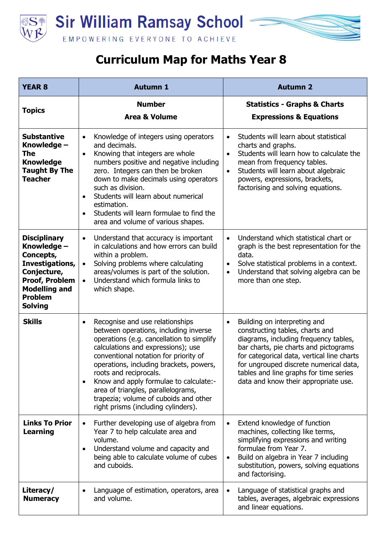



## **Curriculum Map for Maths Year 8**

| <b>YEAR 8</b>                                                                                                                                                          | <b>Autumn 1</b>                                                                                                                                                                                                                                                                                                                                                                                                                                                     | <b>Autumn 2</b>                                                                                                                                                                                                                                                                                                                          |
|------------------------------------------------------------------------------------------------------------------------------------------------------------------------|---------------------------------------------------------------------------------------------------------------------------------------------------------------------------------------------------------------------------------------------------------------------------------------------------------------------------------------------------------------------------------------------------------------------------------------------------------------------|------------------------------------------------------------------------------------------------------------------------------------------------------------------------------------------------------------------------------------------------------------------------------------------------------------------------------------------|
| <b>Topics</b>                                                                                                                                                          | <b>Number</b><br><b>Area &amp; Volume</b>                                                                                                                                                                                                                                                                                                                                                                                                                           | <b>Statistics - Graphs &amp; Charts</b><br><b>Expressions &amp; Equations</b>                                                                                                                                                                                                                                                            |
| <b>Substantive</b><br>Knowledge -<br>The<br><b>Knowledge</b><br><b>Taught By The</b><br><b>Teacher</b>                                                                 | Knowledge of integers using operators<br>$\bullet$<br>and decimals.<br>Knowing that integers are whole<br>$\bullet$<br>numbers positive and negative including<br>zero. Integers can then be broken<br>down to make decimals using operators<br>such as division.<br>Students will learn about numerical<br>$\bullet$<br>estimation.<br>Students will learn formulae to find the<br>$\bullet$<br>area and volume of various shapes.                                 | Students will learn about statistical<br>$\bullet$<br>charts and graphs.<br>Students will learn how to calculate the<br>$\bullet$<br>mean from frequency tables.<br>Students will learn about algebraic<br>$\bullet$<br>powers, expressions, brackets,<br>factorising and solving equations.                                             |
| <b>Disciplinary</b><br>Knowledge -<br>Concepts,<br>Investigations,<br>Conjecture,<br><b>Proof, Problem</b><br><b>Modelling and</b><br><b>Problem</b><br><b>Solving</b> | Understand that accuracy is important<br>$\bullet$<br>in calculations and how errors can build<br>within a problem.<br>Solving problems where calculating<br>$\bullet$<br>areas/volumes is part of the solution.<br>Understand which formula links to<br>$\bullet$<br>which shape.                                                                                                                                                                                  | Understand which statistical chart or<br>graph is the best representation for the<br>data.<br>Solve statistical problems in a context.<br>Understand that solving algebra can be<br>more than one step.                                                                                                                                  |
| <b>Skills</b>                                                                                                                                                          | Recognise and use relationships<br>$\bullet$<br>between operations, including inverse<br>operations (e.g. cancellation to simplify<br>calculations and expressions); use<br>conventional notation for priority of<br>operations, including brackets, powers,<br>roots and reciprocals.<br>Know and apply formulae to calculate:-<br>$\bullet$<br>area of triangles, parallelograms,<br>trapezia; volume of cuboids and other<br>right prisms (including cylinders). | Building on interpreting and<br>$\bullet$<br>constructing tables, charts and<br>diagrams, including frequency tables,<br>bar charts, pie charts and pictograms<br>for categorical data, vertical line charts<br>for ungrouped discrete numerical data,<br>tables and line graphs for time series<br>data and know their appropriate use. |
| <b>Links To Prior</b><br><b>Learning</b>                                                                                                                               | Further developing use of algebra from<br>$\bullet$<br>Year 7 to help calculate area and<br>volume.<br>Understand volume and capacity and<br>being able to calculate volume of cubes<br>and cuboids.                                                                                                                                                                                                                                                                | Extend knowledge of function<br>machines, collecting like terms,<br>simplifying expressions and writing<br>formulae from Year 7.<br>Build on algebra in Year 7 including<br>substitution, powers, solving equations<br>and factorising.                                                                                                  |
| Literacy/<br><b>Numeracy</b>                                                                                                                                           | Language of estimation, operators, area<br>and volume.                                                                                                                                                                                                                                                                                                                                                                                                              | Language of statistical graphs and<br>tables, averages, algebraic expressions<br>and linear equations.                                                                                                                                                                                                                                   |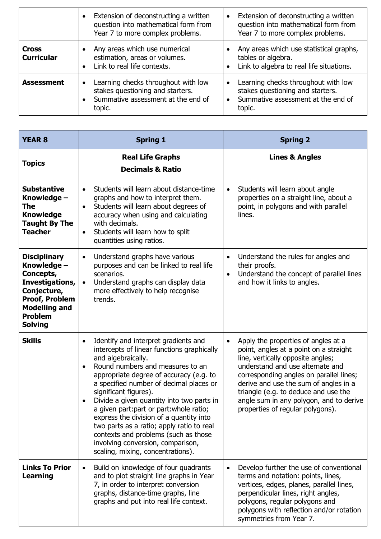|                                   | Extension of deconstructing a written<br>question into mathematical form from<br>Year 7 to more complex problems.                    | Extension of deconstructing a written<br>question into mathematical form from<br>Year 7 to more complex problems.                    |
|-----------------------------------|--------------------------------------------------------------------------------------------------------------------------------------|--------------------------------------------------------------------------------------------------------------------------------------|
| <b>Cross</b><br><b>Curricular</b> | Any areas which use numerical<br>estimation, areas or volumes.<br>Link to real life contexts.                                        | Any areas which use statistical graphs,<br>tables or algebra.<br>Link to algebra to real life situations.                            |
| <b>Assessment</b>                 | Learning checks throughout with low<br>$\bullet$<br>stakes questioning and starters.<br>Summative assessment at the end of<br>topic. | Learning checks throughout with low<br>$\bullet$<br>stakes questioning and starters.<br>Summative assessment at the end of<br>topic. |

| <b>YEAR 8</b>                                                                                                                                                          | <b>Spring 1</b>                                                                                                                                                                                                                                                                                                                                                                                                                                                                                                                                                             | <b>Spring 2</b>                                                                                                                                                                                                                                                                                                                                                                |
|------------------------------------------------------------------------------------------------------------------------------------------------------------------------|-----------------------------------------------------------------------------------------------------------------------------------------------------------------------------------------------------------------------------------------------------------------------------------------------------------------------------------------------------------------------------------------------------------------------------------------------------------------------------------------------------------------------------------------------------------------------------|--------------------------------------------------------------------------------------------------------------------------------------------------------------------------------------------------------------------------------------------------------------------------------------------------------------------------------------------------------------------------------|
| <b>Topics</b>                                                                                                                                                          | <b>Real Life Graphs</b><br><b>Decimals &amp; Ratio</b>                                                                                                                                                                                                                                                                                                                                                                                                                                                                                                                      | <b>Lines &amp; Angles</b>                                                                                                                                                                                                                                                                                                                                                      |
| <b>Substantive</b><br>Knowledge -<br>The<br><b>Knowledge</b><br><b>Taught By The</b><br><b>Teacher</b>                                                                 | Students will learn about distance-time<br>$\bullet$<br>graphs and how to interpret them.<br>Students will learn about degrees of<br>$\bullet$<br>accuracy when using and calculating<br>with decimals.<br>Students will learn how to split<br>quantities using ratios.                                                                                                                                                                                                                                                                                                     | Students will learn about angle<br>$\bullet$<br>properties on a straight line, about a<br>point, in polygons and with parallel<br>lines.                                                                                                                                                                                                                                       |
| <b>Disciplinary</b><br>Knowledge -<br>Concepts,<br>Investigations,<br>Conjecture,<br><b>Proof, Problem</b><br><b>Modelling and</b><br><b>Problem</b><br><b>Solving</b> | Understand graphs have various<br>$\bullet$<br>purposes and can be linked to real life<br>scenarios.<br>Understand graphs can display data<br>$\bullet$<br>more effectively to help recognise<br>trends.                                                                                                                                                                                                                                                                                                                                                                    | Understand the rules for angles and<br>$\bullet$<br>their proofs.<br>Understand the concept of parallel lines<br>$\bullet$<br>and how it links to angles.                                                                                                                                                                                                                      |
| <b>Skills</b>                                                                                                                                                          | Identify and interpret gradients and<br>$\bullet$<br>intercepts of linear functions graphically<br>and algebraically.<br>Round numbers and measures to an<br>appropriate degree of accuracy (e.g. to<br>a specified number of decimal places or<br>significant figures).<br>Divide a given quantity into two parts in<br>a given part: part or part: whole ratio;<br>express the division of a quantity into<br>two parts as a ratio; apply ratio to real<br>contexts and problems (such as those<br>involving conversion, comparison,<br>scaling, mixing, concentrations). | Apply the properties of angles at a<br>$\bullet$<br>point, angles at a point on a straight<br>line, vertically opposite angles;<br>understand and use alternate and<br>corresponding angles on parallel lines;<br>derive and use the sum of angles in a<br>triangle (e.g. to deduce and use the<br>angle sum in any polygon, and to derive<br>properties of regular polygons). |
| <b>Links To Prior</b><br>Learning                                                                                                                                      | Build on knowledge of four quadrants<br>$\bullet$<br>and to plot straight line graphs in Year<br>7, in order to interpret conversion<br>graphs, distance-time graphs, line<br>graphs and put into real life context.                                                                                                                                                                                                                                                                                                                                                        | Develop further the use of conventional<br>$\bullet$<br>terms and notation: points, lines,<br>vertices, edges, planes, parallel lines,<br>perpendicular lines, right angles,<br>polygons, regular polygons and<br>polygons with reflection and/or rotation<br>symmetries from Year 7.                                                                                          |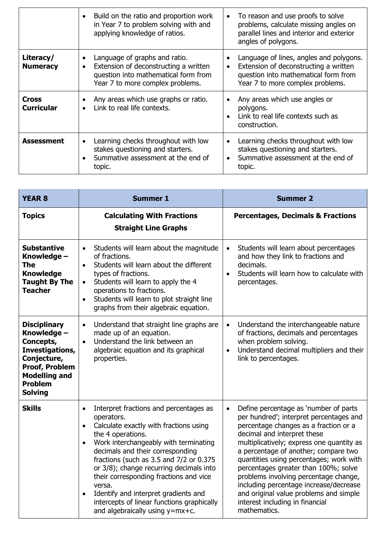|                              | Build on the ratio and proportion work<br>in Year 7 to problem solving with and<br>applying knowledge of ratios.                                                             | To reason and use proofs to solve<br>problems, calculate missing angles on<br>parallel lines and interior and exterior<br>angles of polygons.                |
|------------------------------|------------------------------------------------------------------------------------------------------------------------------------------------------------------------------|--------------------------------------------------------------------------------------------------------------------------------------------------------------|
| Literacy/<br><b>Numeracy</b> | Language of graphs and ratio.<br>$\bullet$<br>Extension of deconstructing a written<br>$\bullet$<br>question into mathematical form from<br>Year 7 to more complex problems. | Language of lines, angles and polygons.<br>Extension of deconstructing a written<br>question into mathematical form from<br>Year 7 to more complex problems. |
| Cross<br><b>Curricular</b>   | Any areas which use graphs or ratio.<br>Link to real life contexts.                                                                                                          | Any areas which use angles or<br>polygons.<br>Link to real life contexts such as<br>construction.                                                            |
| <b>Assessment</b>            | Learning checks throughout with low<br>$\bullet$<br>stakes questioning and starters.<br>Summative assessment at the end of<br>topic.                                         | Learning checks throughout with low<br>stakes questioning and starters.<br>Summative assessment at the end of<br>topic.                                      |

| <b>YEAR 8</b>                                                                                                                                                   | <b>Summer 1</b>                                                                                                                                                                                                                                                                                                                                                                                                                                                                                            | <b>Summer 2</b>                                                                                                                                                                                                                                                                                                                                                                                                                                                                                                               |
|-----------------------------------------------------------------------------------------------------------------------------------------------------------------|------------------------------------------------------------------------------------------------------------------------------------------------------------------------------------------------------------------------------------------------------------------------------------------------------------------------------------------------------------------------------------------------------------------------------------------------------------------------------------------------------------|-------------------------------------------------------------------------------------------------------------------------------------------------------------------------------------------------------------------------------------------------------------------------------------------------------------------------------------------------------------------------------------------------------------------------------------------------------------------------------------------------------------------------------|
| <b>Topics</b>                                                                                                                                                   | <b>Calculating With Fractions</b><br><b>Straight Line Graphs</b>                                                                                                                                                                                                                                                                                                                                                                                                                                           | <b>Percentages, Decimals &amp; Fractions</b>                                                                                                                                                                                                                                                                                                                                                                                                                                                                                  |
| <b>Substantive</b><br>Knowledge -<br><b>The</b><br><b>Knowledge</b><br><b>Taught By The</b><br><b>Teacher</b>                                                   | Students will learn about the magnitude<br>$\bullet$<br>of fractions.<br>Students will learn about the different<br>$\bullet$<br>types of fractions.<br>Students will learn to apply the 4<br>$\bullet$<br>operations to fractions.<br>Students will learn to plot straight line<br>$\bullet$<br>graphs from their algebraic equation.                                                                                                                                                                     | Students will learn about percentages<br>and how they link to fractions and<br>decimals.<br>Students will learn how to calculate with<br>$\bullet$<br>percentages.                                                                                                                                                                                                                                                                                                                                                            |
| <b>Disciplinary</b><br>Knowledge -<br>Concepts,<br>Investigations,<br>Conjecture,<br><b>Proof, Problem</b><br><b>Modelling and</b><br>Problem<br><b>Solving</b> | Understand that straight line graphs are<br>$\bullet$<br>made up of an equation.<br>Understand the link between an<br>$\bullet$<br>algebraic equation and its graphical<br>properties.                                                                                                                                                                                                                                                                                                                     | Understand the interchangeable nature<br>$\bullet$<br>of fractions, decimals and percentages<br>when problem solving.<br>Understand decimal multipliers and their<br>$\bullet$<br>link to percentages.                                                                                                                                                                                                                                                                                                                        |
| <b>Skills</b>                                                                                                                                                   | Interpret fractions and percentages as<br>$\bullet$<br>operators.<br>Calculate exactly with fractions using<br>$\bullet$<br>the 4 operations.<br>Work interchangeably with terminating<br>$\bullet$<br>decimals and their corresponding<br>fractions (such as 3.5 and 7/2 or 0.375<br>or 3/8); change recurring decimals into<br>their corresponding fractions and vice<br>versa.<br>Identify and interpret gradients and<br>intercepts of linear functions graphically<br>and algebraically using y=mx+c. | Define percentage as 'number of parts<br>$\bullet$<br>per hundred'; interpret percentages and<br>percentage changes as a fraction or a<br>decimal and interpret these<br>multiplicatively; express one quantity as<br>a percentage of another; compare two<br>quantities using percentages; work with<br>percentages greater than 100%; solve<br>problems involving percentage change,<br>including percentage increase/decrease<br>and original value problems and simple<br>interest including in financial<br>mathematics. |